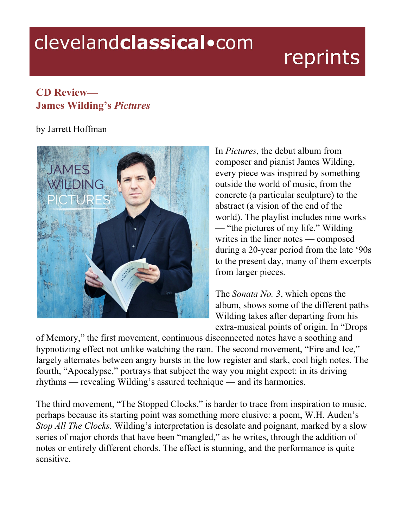## clevelandclassical.com

## reprints

## **CD Review— James Wilding's** *Pictures*

## by Jarrett Hoffman



In *Pictures*, the debut album from composer and pianist James Wilding, every piece was inspired by something outside the world of music, from the concrete (a particular sculpture) to the abstract (a vision of the end of the world). The playlist includes nine works — "the pictures of my life," Wilding writes in the liner notes — composed during a 20-year period from the late '90s to the present day, many of them excerpts from larger pieces.

The *Sonata No. 3*, which opens the album, shows some of the different paths Wilding takes after departing from his extra-musical points of origin. In "Drops

of Memory," the first movement, continuous disconnected notes have a soothing and hypnotizing effect not unlike watching the rain. The second movement, "Fire and Ice," largely alternates between angry bursts in the low register and stark, cool high notes. The fourth, "Apocalypse," portrays that subject the way you might expect: in its driving rhythms — revealing Wilding's assured technique — and its harmonies.

The third movement, "The Stopped Clocks," is harder to trace from inspiration to music, perhaps because its starting point was something more elusive: a poem, W.H. Auden's *Stop All The Clocks.* Wilding's interpretation is desolate and poignant, marked by a slow series of major chords that have been "mangled," as he writes, through the addition of notes or entirely different chords. The effect is stunning, and the performance is quite sensitive.